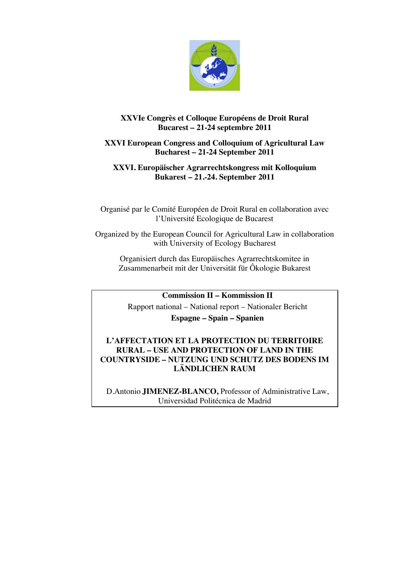

# **XXVIe Congrès et Colloque Européens de Droit Rural Bucarest – 21-24 septembre 2011**

# **XXVI European Congress and Colloquium of Agricultural Law Bucharest – 21-24 September 2011**

# **XXVI. Europäischer Agrarrechtskongress mit Kolloquium Bukarest – 21.-24. September 2011**

Organisé par le Comité Européen de Droit Rural en collaboration avec l'Université Ecologique de Bucarest

Organized by the European Council for Agricultural Law in collaboration with University of Ecology Bucharest

Organisiert durch das Europäisches Agrarrechtskomitee in Zusammenarbeit mit der Universität für Ôkologie Bukarest

**Commission II – Kommission II** 

Rapport national – National report – Nationaler Bericht

**Espagne – Spain – Spanien**

## **L'AFFECTATION ET LA PROTECTION DU TERRITOIRE RURAL – USE AND PROTECTION OF LAND IN THE COUNTRYSIDE – NUTZUNG UND SCHUTZ DES BODENS IM LÄNDLICHEN RAUM**

D.Antonio **JIMENEZ-BLANCO,** Professor of Administrative Law, Universidad Politécnica de Madrid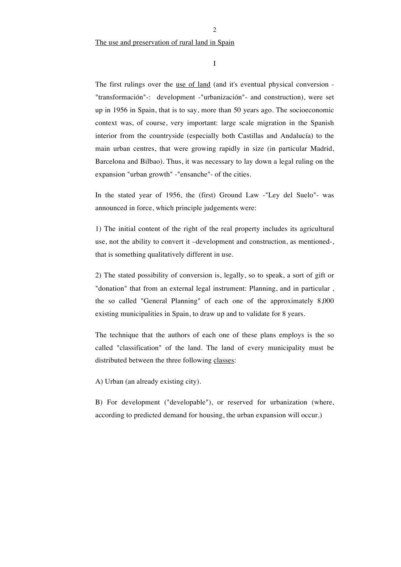The use and preservation of rural land in Spain

I

The first rulings over the <u>use of land</u> (and it's eventual physical conversion -"transformación"-: development -"urbanización"- and construction), were set up in 1956 in Spain, that is to say, more than 50 years ago. The socioeconomic context was, of course, very important: large scale migration in the Spanish interior from the countryside (especially both Castillas and Andalucía) to the main urban centres, that were growing rapidly in size (in particular Madrid, Barcelona and Bilbao). Thus, it was necessary to lay down a legal ruling on the expansion "urban growth" -"ensanche"- of the cities.

In the stated year of 1956, the (first) Ground Law -"Ley del Suelo"- was announced in force, which principle judgements were:

1) The initial content of the right of the real property includes its agricultural use, not the ability to convert it –development and construction, as mentioned-, that is something qualitatively different in use.

2) The stated possibility of conversion is, legally, so to speak, a sort of gift or "donation" that from an external legal instrument: Planning, and in particular , the so called "General Planning" of each one of the approximately 8,000 existing municipalities in Spain, to draw up and to validate for 8 years.

The technique that the authors of each one of these plans employs is the so called "classification" of the land. The land of every municipality must be distributed between the three following classes:

A) Urban (an already existing city).

B) For development ("developable"), or reserved for urbanization (where, according to predicted demand for housing, the urban expansion will occur.)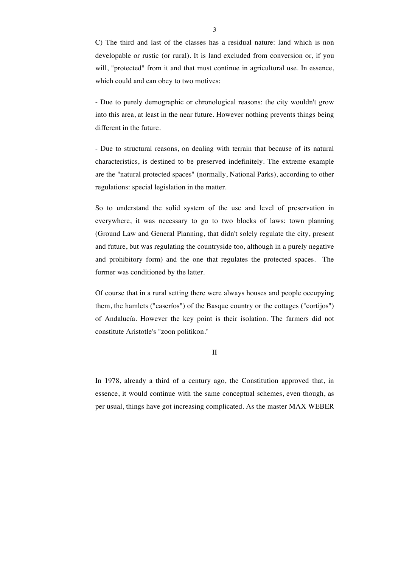C) The third and last of the classes has a residual nature: land which is non developable or rustic (or rural). It is land excluded from conversion or, if you will, "protected" from it and that must continue in agricultural use. In essence, which could and can obey to two motives:

- Due to purely demographic or chronological reasons: the city wouldn't grow into this area, at least in the near future. However nothing prevents things being different in the future.

- Due to structural reasons, on dealing with terrain that because of its natural characteristics, is destined to be preserved indefinitely. The extreme example are the "natural protected spaces" (normally, National Parks), according to other regulations: special legislation in the matter.

So to understand the solid system of the use and level of preservation in everywhere, it was necessary to go to two blocks of laws: town planning (Ground Law and General Planning, that didn't solely regulate the city, present and future, but was regulating the countryside too, although in a purely negative and prohibitory form) and the one that regulates the protected spaces. The former was conditioned by the latter.

Of course that in a rural setting there were always houses and people occupying them, the hamlets ("caseríos") of the Basque country or the cottages ("cortijos") of Andalucía. However the key point is their isolation. The farmers did not constitute Aristotle's "zoon politikon."

II

In 1978, already a third of a century ago, the Constitution approved that, in essence, it would continue with the same conceptual schemes, even though, as per usual, things have got increasing complicated. As the master MAX WEBER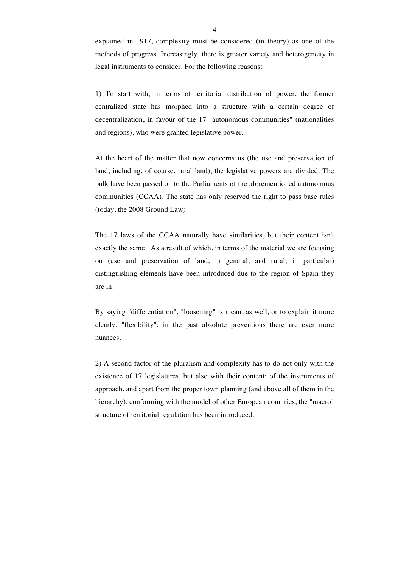explained in 1917, complexity must be considered (in theory) as one of the methods of progress. Increasingly, there is greater variety and heterogeneity in legal instruments to consider. For the following reasons:

1) To start with, in terms of territorial distribution of power, the former centralized state has morphed into a structure with a certain degree of decentralization, in favour of the 17 "autonomous communities" (nationalities and regions), who were granted legislative power.

At the heart of the matter that now concerns us (the use and preservation of land, including, of course, rural land), the legislative powers are divided. The bulk have been passed on to the Parliaments of the aforementioned autonomous communities (CCAA). The state has only reserved the right to pass base rules (today, the 2008 Ground Law).

The 17 laws of the CCAA naturally have similarities, but their content isn't exactly the same. As a result of which, in terms of the material we are focusing on (use and preservation of land, in general, and rural, in particular) distinguishing elements have been introduced due to the region of Spain they are in.

By saying "differentiation", "loosening" is meant as well, or to explain it more clearly, "flexibility": in the past absolute preventions there are ever more nuances.

2) A second factor of the pluralism and complexity has to do not only with the existence of 17 legislatures, but also with their content: of the instruments of approach, and apart from the proper town planning (and above all of them in the hierarchy), conforming with the model of other European countries, the "macro" structure of territorial regulation has been introduced.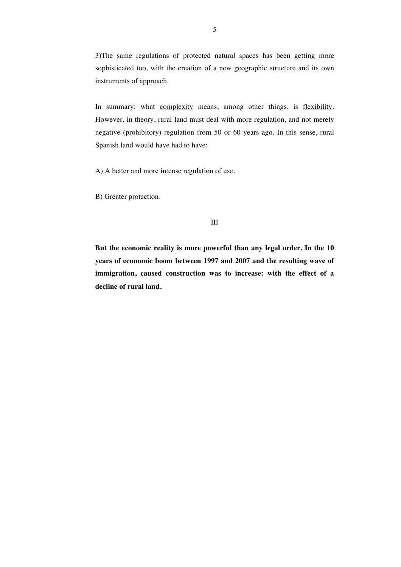3)The same regulations of protected natural spaces has been getting more sophisticated too, with the creation of a new geographic structure and its own instruments of approach.

In summary: what complexity means, among other things, is flexibility. However, in theory, rural land must deal with more regulation, and not merely negative (prohibitory) regulation from 50 or 60 years ago. In this sense, rural Spanish land would have had to have:

A) A better and more intense regulation of use.

B) Greater protection.

**But the economic reality is more powerful than any legal order. In the 10 years of economic boom between 1997 and 2007 and the resulting wave of immigration, caused construction was to increase: with the effect of a decline of rural land.**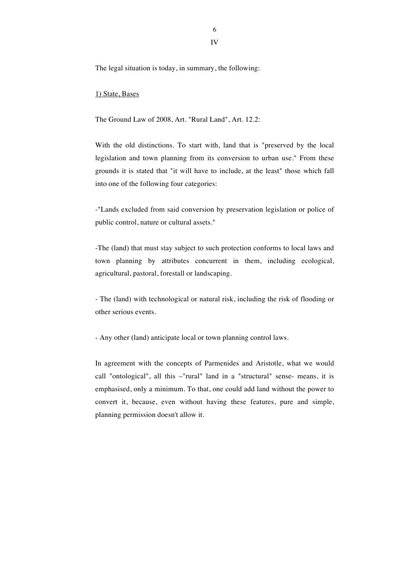6

IV

The legal situation is today, in summary, the following:

#### 1) State, Bases

The Ground Law of 2008, Art. "Rural Land", Art. 12.2:

With the old distinctions. To start with, land that is "preserved by the local legislation and town planning from its conversion to urban use." From these grounds it is stated that "it will have to include, at the least" those which fall into one of the following four categories:

-"Lands excluded from said conversion by preservation legislation or police of public control, nature or cultural assets."

-The (land) that must stay subject to such protection conforms to local laws and town planning by attributes concurrent in them, including ecological, agricultural, pastoral, forestall or landscaping.

- The (land) with technological or natural risk, including the risk of flooding or other serious events.

- Any other (land) anticipate local or town planning control laws.

In agreement with the concepts of Parmenides and Aristotle, what we would call "ontological", all this –"rural" land in a "structural" sense- means, it is emphasised, only a minimum. To that, one could add land without the power to convert it, because, even without having these features, pure and simple, planning permission doesn't allow it.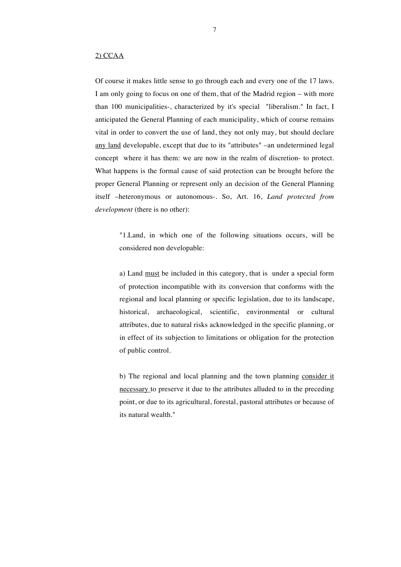### 2) CCAA

Of course it makes little sense to go through each and every one of the 17 laws. I am only going to focus on one of them, that of the Madrid region – with more than 100 municipalities-, characterized by it's special "liberalism." In fact, I anticipated the General Planning of each municipality, which of course remains vital in order to convert the use of land, they not only may, but should declare any land developable, except that due to its "attributes" –an undetermined legal concept where it has them: we are now in the realm of discretion- to protect. What happens is the formal cause of said protection can be brought before the proper General Planning or represent only an decision of the General Planning itself –heteronymous or autonomous-. So, Art. 16, *Land protected from development* (there is no other):

"1.Land, in which one of the following situations occurs, will be considered non developable:

a) Land must be included in this category, that is under a special form of protection incompatible with its conversion that conforms with the regional and local planning or specific legislation, due to its landscape, historical, archaeological, scientific, environmental or cultural attributes, due to natural risks acknowledged in the specific planning, or in effect of its subjection to limitations or obligation for the protection of public control.

b) The regional and local planning and the town planning consider it necessary to preserve it due to the attributes alluded to in the preceding point, or due to its agricultural, forestal, pastoral attributes or because of its natural wealth."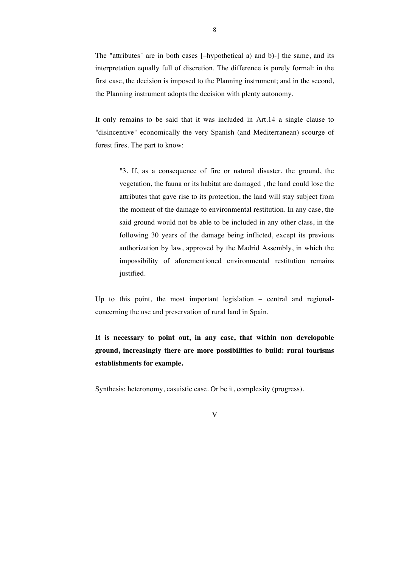The "attributes" are in both cases [–hypothetical a) and b)-] the same, and its interpretation equally full of discretion. The difference is purely formal: in the first case, the decision is imposed to the Planning instrument; and in the second, the Planning instrument adopts the decision with plenty autonomy.

It only remains to be said that it was included in Art.14 a single clause to "disincentive" economically the very Spanish (and Mediterranean) scourge of forest fires. The part to know:

"3. If, as a consequence of fire or natural disaster, the ground, the vegetation, the fauna or its habitat are damaged , the land could lose the attributes that gave rise to its protection, the land will stay subject from the moment of the damage to environmental restitution. In any case, the said ground would not be able to be included in any other class, in the following 30 years of the damage being inflicted, except its previous authorization by law, approved by the Madrid Assembly, in which the impossibility of aforementioned environmental restitution remains justified.

Up to this point, the most important legislation – central and regionalconcerning the use and preservation of rural land in Spain.

**It is necessary to point out, in any case, that within non developable ground, increasingly there are more possibilities to build: rural tourisms establishments for example.**

Synthesis: heteronomy, casuistic case. Or be it, complexity (progress).

V